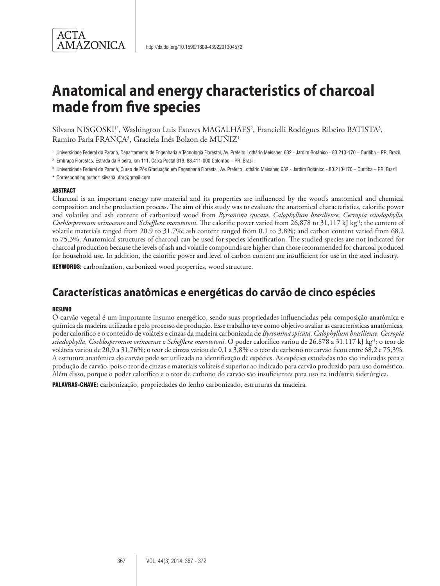

# **Anatomical and energy characteristics of charcoal made from five species**

Silvana NISGOSKI<sup>1\*</sup>, Washington Luis Esteves MAGALHÃES<sup>2</sup>, Francielli Rodrigues Ribeiro BATISTA<sup>3</sup>, Ramiro Faria FRANÇA3 , Graciela Inés Bolzon de MUÑIZ1

<sup>1</sup> Universidade Federal do Paraná, Departamento de Engenharia e Tecnologia Florestal, Av. Prefeito Lothário Meissner, 632 - Jardim Botânico - 80.210-170 – Curitiba – PR, Brazil.

<sup>2</sup> Embrapa Florestas. Estrada da Ribeira, km 111. Caixa Postal 319. 83.411-000 Colombo – PR, Brazil.

<sup>3</sup> Universidade Federal do Paraná, Curso de Pós Graduação em Engenharia Florestal, Av. Prefeito Lothário Meissner, 632 - Jardim Botânico - 80.210-170 – Curitiba – PR, Brazil

\* Corresponding author: silvana.ufpr@gmail.com

#### ABSTRACT

Charcoal is an important energy raw material and its properties are influenced by the wood's anatomical and chemical composition and the production process. The aim of this study was to evaluate the anatomical characteristics, calorific power and volatiles and ash content of carbonized wood from *Byrsonima spicata, Calophyllum brasiliense, Cecropia sciadophylla, Cochlospermum orinocense* and *Schefflera morototoni.* The calorific power varied from 26,878 to 31,117 kJ kg-1; the content of volatile materials ranged from 20.9 to 31.7%; ash content ranged from 0.1 to 3.8%; and carbon content varied from 68.2 to 75.3%. Anatomical structures of charcoal can be used for species identification. The studied species are not indicated for charcoal production because the levels of ash and volatile compounds are higher than those recommended for charcoal produced for household use. In addition, the calorific power and level of carbon content are insufficient for use in the steel industry.

KEYWORDS: carbonization, carbonized wood properties, wood structure.

# **Características anatômicas e energéticas do carvão de cinco espécies**

#### **RESUMO**

O carvão vegetal é um importante insumo energético, sendo suas propriedades influenciadas pela composição anatômica e química da madeira utilizada e pelo processo de produção. Esse trabalho teve como objetivo avaliar as características anatômicas, poder calorífico e o conteúdo de voláteis e cinzas da madeira carbonizada de *Byrsonima spicata, Calophyllum brasiliense, Cecropia sciadophylla, Cochlospermum orinocense* e *Schefflera morototoni.* O poder calorífico variou de 26.878 a 31.117 kJ kg-1; o teor de voláteis variou de 20,9 a 31,76%; o teor de cinzas variou de 0,1 a 3,8% e o teor de carbono no carvão ficou entre 68,2 e 75,3%. A estrutura anatômica do carvão pode ser utilizada na identificação de espécies. As espécies estudadas não são indicadas para a produção de carvão, pois o teor de cinzas e materiais voláteis é superior ao indicado para carvão produzido para uso doméstico. Além disso, porque o poder calorífico e o teor de carbono do carvão são insuficientes para uso na indústria siderúrgica.

PALAVRAS-CHAVE: carbonização, propriedades do lenho carbonizado, estruturas da madeira.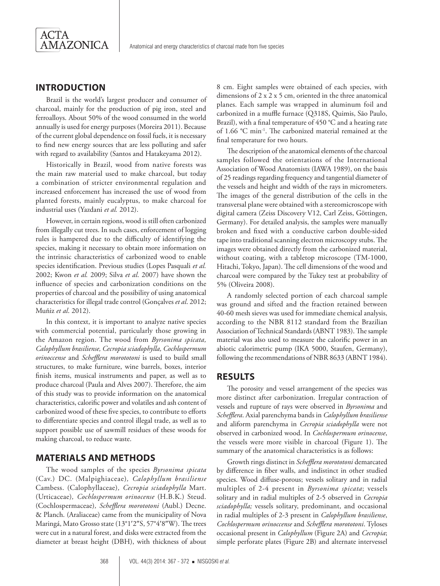## **INTRODUCTION**

Brazil is the world's largest producer and consumer of charcoal, mainly for the production of pig iron, steel and ferroalloys. About 50% of the wood consumed in the world annually is used for energy purposes (Moreira 2011). Because of the current global dependence on fossil fuels, it is necessary to find new energy sources that are less polluting and safer with regard to availability (Santos and Hatakeyama 2012).

Historically in Brazil, wood from native forests was the main raw material used to make charcoal, but today a combination of stricter environmental regulation and increased enforcement has increased the use of wood from planted forests, mainly eucalyptus, to make charcoal for industrial uses (Yazdani *et al.* 2012).

However, in certain regions, wood is still often carbonized from illegally cut trees. In such cases, enforcement of logging rules is hampered due to the difficulty of identifying the species, making it necessary to obtain more information on the intrinsic characteristics of carbonized wood to enable species identification. Previous studies (Lopes Pasquali *et al.*  2002; Kwon *et al.* 2009; Silva *et al*. 2007) have shown the influence of species and carbonization conditions on the properties of charcoal and the possibility of using anatomical characteristics for illegal trade control (Gonçalves *et al*. 2012; Muñiz *et al*. 2012).

In this context, it is important to analyze native species with commercial potential, particularly those growing in the Amazon region. The wood from *Byrsonima spicata, Calophyllum brasiliense, Cecropia sciadophylla, Cochlospermum orinoccense* and *Schefflera morototoni* is used to build small structures, to make furniture, wine barrels, boxes, interior finish items, musical instruments and paper, as well as to produce charcoal (Paula and Alves 2007). Therefore, the aim of this study was to provide information on the anatomical characteristics, calorific power and volatiles and ash content of carbonized wood of these five species, to contribute to efforts to differentiate species and control illegal trade, as well as to support possible use of sawmill residues of these woods for making charcoal, to reduce waste.

#### **MATERIALS AND METHODS**

The wood samples of the species *Byrsonima spicata*  (Cav.) DC. (Malpighiaceae)*, Calophyllum brasiliense* Cambess. (Calophyllaceae)*, Cecropia sciadophylla* Mart. (Urticaceae)*, Cochlospermum orinocense* (H.B.K.) Steud. (Cochlospermaceae)*, Schefflera morototoni* (Aubl.) Decne. & Planch. (Araliaceae) came from the municipality of Nova Maringá, Mato Grosso state (13°1′2″S, 57°4′8″W). The trees were cut in a natural forest, and disks were extracted from the diameter at breast height (DBH), with thickness of about

8 cm. Eight samples were obtained of each species, with dimensions of 2 x 2 x 5 cm, oriented in the three anatomical planes. Each sample was wrapped in aluminum foil and carbonized in a muffle furnace (Q318S, Quimis, São Paulo, Brazil), with a final temperature of 450 °C and a heating rate of 1.66 °C min-1. The carbonized material remained at the final temperature for two hours.

The description of the anatomical elements of the charcoal samples followed the orientations of the International Association of Wood Anatomists (IAWA 1989), on the basis of 25 readings regarding frequency and tangential diameter of the vessels and height and width of the rays in micrometers. The images of the general distribution of the cells in the transversal plane were obtained with a stereomicroscope with digital camera (Zeiss Discovery V12, Carl Zeiss, Göttingen, Germany). For detailed analysis, the samples were manually broken and fixed with a conductive carbon double-sided tape into traditional scanning electron microscopy stubs. The images were obtained directly from the carbonized material, without coating, with a tabletop microscope (TM-1000, Hitachi, Tokyo, Japan). The cell dimensions of the wood and charcoal were compared by the Tukey test at probability of 5% (Oliveira 2008).

A randomly selected portion of each charcoal sample was ground and sifted and the fraction retained between 40-60 mesh sieves was used for immediate chemical analysis, according to the NBR 8112 standard from the Brazilian Association of Technical Standards (ABNT 1983). The sample material was also used to measure the calorific power in an abiotic calorimetric pump (IKA 5000, Staufen, Germany), following the recommendations of NBR 8633 (ABNT 1984).

#### **RESULTS**

The porosity and vessel arrangement of the species was more distinct after carbonization. Irregular contraction of vessels and rupture of rays were observed in *Byrsonima* and *Schefflera*. Axial parenchyma bands in *Calophyllum brasiliense* and aliform parenchyma in *Cecropia sciadophylla* were not observed in carbonized wood. In *Cochlospermum orinocense*, the vessels were more visible in charcoal (Figure 1). The summary of the anatomical characteristics is as follows:

Growth rings distinct in *Schefflera morototoni* demarcated by difference in fiber walls, and indistinct in other studied species. Wood diffuse-porous; vessels solitary and in radial multiples of 2-4 present in *Byrsonima spicata*; vessels solitary and in radial multiples of 2-5 observed in *Cecropia sciadophylla;* vessels solitary, predominant, and occasional in radial multiples of 2-3 present in *Calophyllum brasiliense*, *Cochlospermum orinoccense* and *Schefflera morototoni*. Tyloses occasional present in *Calophyllum* (Figure 2A) and *Cecropia*; simple perforate plates (Figure 2B) and alternate intervessel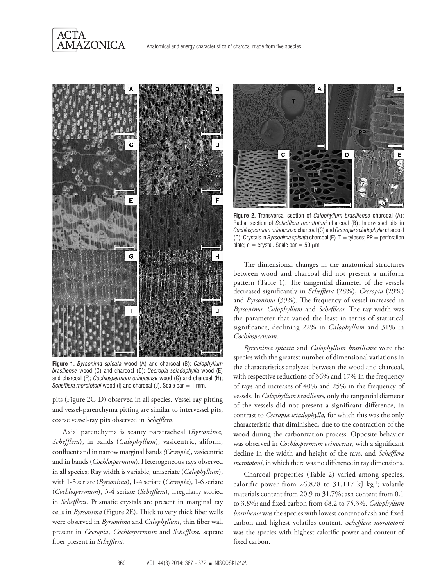



**Figure 1.** *Byrsonima spicata* wood (A) and charcoal (B); *Calophyllum brasiliense* wood (C) and charcoal (D); *Cecropia sciadophylla* wood (E) and charcoal (F); *Cochlospermum orinocense* wood (G) and charcoal (H); *Schefflera morototoni* wood (I) and charcoal (J). Scale bar = 1 mm.

pits (Figure 2C-D) observed in all species. Vessel-ray pitting and vessel-parenchyma pitting are similar to intervessel pits; coarse vessel-ray pits observed in *Schefflera*.

Axial parenchyma is scanty paratracheal (*Byrsonima, Schefflera*), in bands (*Calophyllum*), vasicentric, aliform, confluent and in narrow marginal bands *(Cecropia*), vasicentric and in bands (*Cochlospermum*). Heterogeneous rays observed in all species; Ray width is variable, uniseriate (*Calophyllum*), with 1-3 seriate (*Byrsonima*), 1-4 seriate (*Cecropia*), 1-6 seriate (*Cochlospermum*), 3-4 seriate (*Schefflera*), irregularly storied in *Schefflera.* Prismatic crystals are present in marginal ray cells in *Byrsonima* (Figure 2E). Thick to very thick fiber walls were observed in *Byrsonima* and *Calophyllum*, thin fiber wall present in *Cecropia*, *Cochlospermum* and *Schefflera,* septate fiber present in *Schefflera.*



**Figure 2.** Transversal section of *Calophyllum brasiliense* charcoal (A); Radial section of *Schefflera morototoni* charcoal (B); Intervessel pits in *Cochlospermum orinocense* charcoal (C) and *Cecropia sciadophylla* charcoal (D); Crystals in *Byrsonima spicata* charcoal (E). T = tyloses; PP = perforation plate;  $c = \text{crystal}$ . Scale bar = 50  $\mu$ m

The dimensional changes in the anatomical structures between wood and charcoal did not present a uniform pattern (Table 1). The tangential diameter of the vessels decreased significantly in *Schefflera* (28%), *Cecropia* (29%) and *Byrsonima* (39%)*.* The frequency of vessel increased in *Byrsonima, Calophyllum* and *Schefflera.* The ray width was the parameter that varied the least in terms of statistical significance, declining 22% in *Calophyllum* and 31% in *Cochlospermum.* 

*Byrsonima spicata* and *Calophyllum brasiliense* were the species with the greatest number of dimensional variations in the characteristics analyzed between the wood and charcoal, with respective reductions of 36% and 17% in the frequency of rays and increases of 40% and 25% in the frequency of vessels. In *Calophyllum brasiliense,* only the tangential diameter of the vessels did not present a significant difference, in contrast to *Cecropia sciadophylla,* for which this was the only characteristic that diminished, due to the contraction of the wood during the carbonization process. Opposite behavior was observed in *Cochlospermum orinocense,* with a significant decline in the width and height of the rays, and *Schefflera morototoni*, in which there was no difference in ray dimensions.

Charcoal properties (Table 2) varied among species, calorific power from  $26,878$  to  $31,117$  kJ kg<sup>-1</sup>; volatile materials content from 20.9 to 31.7%; ash content from 0.1 to 3.8%; and fixed carbon from 68.2 to 75.3%. *Calophyllum brasiliense* was the species with lowest content of ash and fixed carbon and highest volatiles content. *Schefflera morototoni*  was the species with highest calorific power and content of fixed carbon.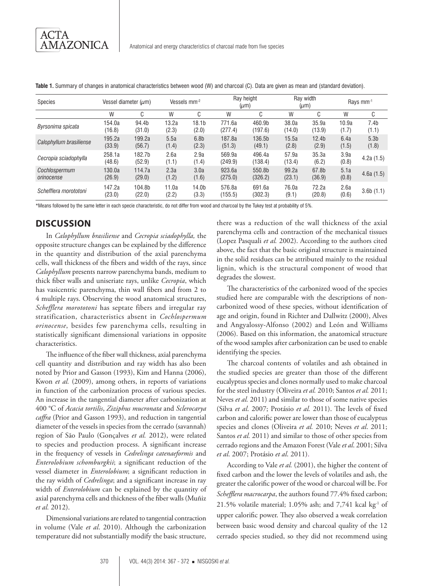| Species                     | Vessel diameter $(\mu m)$ |                  | Vessels mm-2   |                            | Ray height<br>$(\mu m)$ |                   | Ray width<br>$(\mu m)$ |                            | Rays mm <sup>-1</sup> |                           |
|-----------------------------|---------------------------|------------------|----------------|----------------------------|-------------------------|-------------------|------------------------|----------------------------|-----------------------|---------------------------|
|                             | W                         | C                | W              | C                          | W                       | C                 | W                      | C                          | W                     | C                         |
| Byrsonima spicata           | 154.0a<br>(16.8)          | 94.4b<br>(31.0)  | 13.2a<br>(2.3) | 18.1 <sub>b</sub><br>(2.0) | 771.6a<br>(277.4)       | 460.9b<br>(197.6) | 38.0a<br>(14.0)        | 35.9a<br>(13.9)            | 10.9a<br>(1.7)        | 7.4b<br>(1.1)             |
| Calophyllum brasiliense     | 195.2a<br>(33.9)          | 199.2a<br>(56.7) | 5.5a<br>(1.4)  | 6.8 <sub>b</sub><br>(2.3)  | 187.8a<br>(51.3)        | 136.5b<br>(49.1)  | 15.5a<br>(2.8)         | 12.4 <sub>b</sub><br>(2.9) | 6.4a<br>(1.5)         | 5.3 <sub>b</sub><br>(1.8) |
| Cecropia sciadophylla       | 258.1a<br>(48.6)          | 182.7b<br>(52.9) | 2.6a<br>(1.1)  | 2.9a<br>(1.4)              | 569.9a<br>(249.9)       | 496.4a<br>(138.4) | 57.9a<br>(13.4)        | 35.3a<br>(6.2)             | 3.9a<br>(0.8)         | 4.2a(1.5)                 |
| Cochlospermum<br>orinocense | 130.0a<br>(26.9)          | 114.7a<br>(29.0) | 2.3a<br>(1.2)  | 3.0a<br>(1.6)              | 923.6a<br>(275.0)       | 550.8b<br>(326.2) | 99.2a<br>(23.1)        | 67.8b<br>(36.9)            | 5.1a<br>(0.8)         | 4.6a(1.5)                 |
| Schefflera morototoni       | 147.2a<br>(23.0)          | 104.8b<br>(22.0) | 11.0a<br>(2.2) | 14.0b<br>(3.3)             | 576.8a<br>(155.5)       | 691.6a<br>(302.3) | 76.0a<br>(9.1)         | 72.2a<br>(20.8)            | 2.6a<br>(0.6)         | 3.6b(1.1)                 |

**Table 1.** Summary of changes in anatomical characteristics between wood (W) and charcoal (C). Data are given as mean and (standard deviation).

\*Means followed by the same letter in each specie characteristic, do not differ from wood and charcoal by the Tukey test at probability of 5%.

## **DISCUSSION**

In *Calophyllum brasiliense* and *Cecropia sciadophylla,* the opposite structure changes can be explained by the difference in the quantity and distribution of the axial parenchyma cells, wall thickness of the fibers and width of the rays, since *Calophyllum* presents narrow parenchyma bands, medium to thick fiber walls and uniseriate rays, unlike *Cecropia*, which has vasicentric parenchyma, thin wall fibers and from 2 to 4 multiple rays. Observing the wood anatomical structures, *Schefflera morototoni* has septate fibers and irregular ray stratification, characteristics absent in *Cochlospermum orinocense*, besides few parenchyma cells, resulting in statistically significant dimensional variations in opposite characteristics.

The influence of the fiber wall thickness, axial parenchyma cell quantity and distribution and ray width has also been noted by Prior and Gasson (1993), Kim and Hanna (2006), Kwon *et al.* (2009), among others, in reports of variations in function of the carbonization process of various species. An increase in the tangential diameter after carbonization at 400 °C of *Acacia tortilis*, *Ziziphus mucronata* and *Sclerocarya caffra* (Prior and Gasson 1993), and reduction in tangential diameter of the vessels in species from the cerrado (savannah) region of São Paulo (Gonçalves *et al.* 2012), were related to species and production process. A significant increase in the frequency of vessels in *Cedrelinga catenaeformis* and *Enterolobium schomburgkii*; a significant reduction of the vessel diameter in *Enterolobium*; a significant reduction in the ray width of *Cedrelinga*; and a significant increase in ray width of *Enterolobium* can be explained by the quantity of axial parenchyma cells and thickness of the fiber walls (Muñiz *et al.* 2012).

Dimensional variations are related to tangential contraction in volume (Vale *et al*. 2010). Although the carbonization temperature did not substantially modify the basic structure,

there was a reduction of the wall thickness of the axial parenchyma cells and contraction of the mechanical tissues (Lopez Pasquali *et al.* 2002). According to the authors cited above, the fact that the basic original structure is maintained in the solid residues can be attributed mainly to the residual lignin, which is the structural component of wood that degrades the slowest.

The characteristics of the carbonized wood of the species studied here are comparable with the descriptions of noncarbonized wood of these species, without identification of age and origin, found in Richter and Dallwitz (2000), Alves and Angyalossy-Alfonso (2002) and León and Williams (2006). Based on this information, the anatomical structure of the wood samples after carbonization can be used to enable identifying the species.

The charcoal contents of volatiles and ash obtained in the studied species are greater than those of the different eucalyptus species and clones normally used to make charcoal for the steel industry (Oliveira *et al.* 2010; Santos *et al.* 2011; Neves *et al.* 2011) and similar to those of some native species (Silva *et al*. 2007; Protásio *et al.* 2011). The levels of fixed carbon and calorific power are lower than those of eucalyptus species and clones (Oliveira *et al.* 2010; Neves *et al*. 2011; Santos *et al.* 2011) and similar to those of other species from cerrado regions and the Amazon Forest (Vale *et al*. 2001; Silva *et al*. 2007; Protásio *et al*. 2011).

According to Vale *et al.* (2001), the higher the content of fixed carbon and the lower the levels of volatiles and ash, the greater the calorific power of the wood or charcoal will be. For *Schefflera macrocarpa*, the authors found 77.4% fixed carbon; 21.5% volatile material;  $1.05\%$  ash; and 7,741 kcal kg<sup>-1</sup> of upper calorific power. They also observed a weak correlation between basic wood density and charcoal quality of the 12 cerrado species studied, so they did not recommend using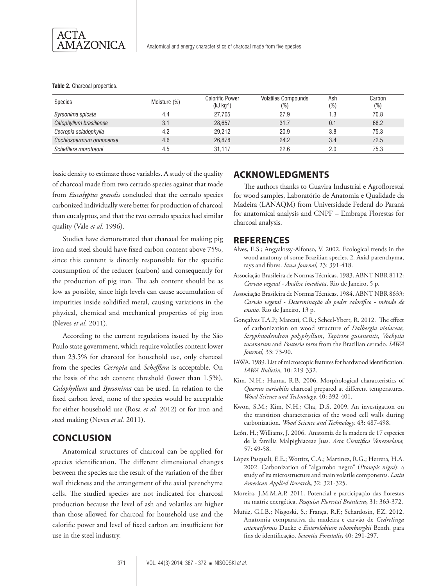

**Table 2.** Charcoal properties.

| Species                  | Moisture (%) | <b>Calorific Power</b><br>$(kJ kg^{-1})$ | <b>Volatiles Compounds</b><br>(%` | Ash<br>(%) | Carbon<br>$(\%)$ |
|--------------------------|--------------|------------------------------------------|-----------------------------------|------------|------------------|
| Byrsonima spicata        | 4.4          | 27.705                                   | 27.9                              |            | 70.8             |
| Calophyllum brasiliense  | 3.1          | 28.657                                   | 31.7                              | 0.1        | 68.2             |
| Cecropia sciadophylla    | 4.2          | 29.212                                   | 20.9                              | 3.8        | 75.3             |
| Cochlospermum orinocense | 4.6          | 26,878                                   | 24.2                              | 3.4        | 72.5             |
| Schefflera morototoni    | 4.5          | 31.117                                   | 22.6                              | 2.0        | 75.3             |

basic density to estimate those variables. A study of the quality of charcoal made from two cerrado species against that made from *Eucalyptus grandis* concluded that the cerrado species carbonized individually were better for production of charcoal than eucalyptus, and that the two cerrado species had similar quality (Vale *et al.* 1996).

Studies have demonstrated that charcoal for making pig iron and steel should have fixed carbon content above 75%, since this content is directly responsible for the specific consumption of the reducer (carbon) and consequently for the production of pig iron. The ash content should be as low as possible, since high levels can cause accumulation of impurities inside solidified metal, causing variations in the physical, chemical and mechanical properties of pig iron (Neves *et al*. 2011).

According to the current regulations issued by the São Paulo state government, which require volatiles content lower than 23.5% for charcoal for household use, only charcoal from the species *Cecropia* and *Schefflera* is acceptable. On the basis of the ash content threshold (lower than 1.5%), *Calophyllum* and *Byrsonima* can be used. In relation to the fixed carbon level, none of the species would be acceptable for either household use (Rosa *et al.* 2012) or for iron and steel making (Neves *et al.* 2011).

#### **CONCLUSION**

Anatomical structures of charcoal can be applied for species identification. The different dimensional changes between the species are the result of the variation of the fiber wall thickness and the arrangement of the axial parenchyma cells. The studied species are not indicated for charcoal production because the level of ash and volatiles are higher than those allowed for charcoal for household use and the calorific power and level of fixed carbon are insufficient for use in the steel industry.

#### **ACKNOWLEDGMENTS**

The authors thanks to Guavira Industrial e Agroflorestal for wood samples, Laboratório de Anatomia e Qualidade da Madeira (LANAQM) from Universidade Federal do Paraná for anatomical analysis and CNPF – Embrapa Florestas for charcoal analysis.

#### **REFERENCES**

- Alves, E.S.; Angyalossy-Alfonso, V. 2002. Ecological trends in the wood anatomy of some Brazilian species. 2. Axial parenchyma, rays and fibres. *Iawa Journal,* 23: 391-418.
- Associação Brasileira de Normas Técnicas. 1983. ABNT NBR 8112: *Carvão vegetal - Análise imediata*. Rio de Janeiro, 5 p.
- Associação Brasileira de Normas Técnicas. 1984. ABNT NBR 8633: *Carvão vegetal - Determinação do poder calorífico - método de ensaio.* Rio de Janeiro, 13 p.
- Gonçalves T.A.P.; Marcati, C.R.; Scheel-Ybert, R. 2012. The effect of carbonization on wood structure of *Dalbergia violaceae, Stryphnodendron polyphyllum*, *Tapirira guianensis*, *Vochysia tucanorum* and *Pouteria torta* from the Brazilian cerrado. *IAWA Journal,* 33: 73-90.
- IAWA. 1989. List of microscopic features for hardwood identification. *IAWA Bulletin,* 10: 219-332.
- Kim, N.H.; Hanna, R.B. 2006. Morphological characteristics of *Quercus variabilis* charcoal prepared at different temperatures. *Wood Science and Technology,* 40: 392-401.
- Kwon, S.M.; Kim, N.H.; Cha, D.S. 2009. An investigation on the transition characteristics of the wood cell walls during carbonization. *Wood Science and Technology,* 43: 487-498.
- León, H.; Williams, J. 2006. Anatomía de la madera de 17 especies de la familia Malpighiaceae Juss. *Acta Científica Venezoelana,*  57: 49-58.
- López Pasquali, E.E.; Wottitz, C.A.; Martinez, R.G.; Herrera, H.A. 2002. Carbonization of "algarrobo negro" (*Prosopis nigra*): a study of its microstructure and main volatile components. *Latin American Applied Research***,** 32: 321-325.
- Moreira, J.M.M.A.P. 2011. Potencial e participação das florestas na matriz energética. *Pesquisa Florestal Brasileira***,** 31: 363-372.
- Muñiz, G.I.B.; Nisgoski, S.; França, R.F.; Schardosin, F.Z. 2012. Anatomia comparativa da madeira e carvão de *Cedrelinga catenaeformis* Ducke e *Enterolobium schomburgkii* Benth. para fins de identificação. *Scientia Forestalis***,** 40: 291-297.